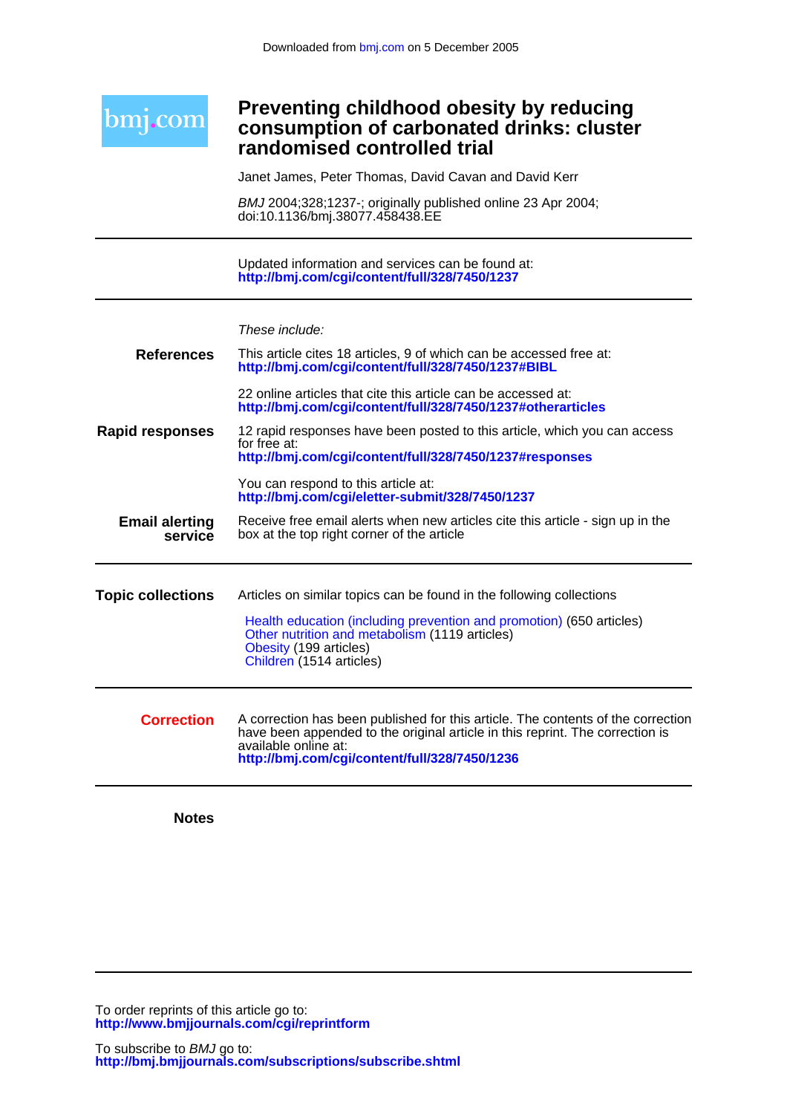

### **randomised controlled trial consumption of carbonated drinks: cluster Preventing childhood obesity by reducing**

Janet James, Peter Thomas, David Cavan and David Kerr

doi:10.1136/bmj.38077.458438.EE BMJ 2004;328;1237-; originally published online 23 Apr 2004;

**<http://bmj.com/cgi/content/full/328/7450/1237>** Updated information and services can be found at:

| These include: |  |
|----------------|--|
|                |  |

| <b>References</b>                | This article cites 18 articles, 9 of which can be accessed free at:<br>http://bmj.com/cgi/content/full/328/7450/1237#BIBL                                                                                                                  |
|----------------------------------|--------------------------------------------------------------------------------------------------------------------------------------------------------------------------------------------------------------------------------------------|
|                                  | 22 online articles that cite this article can be accessed at:<br>http://bmj.com/cgi/content/full/328/7450/1237#otherarticles                                                                                                               |
| <b>Rapid responses</b>           | 12 rapid responses have been posted to this article, which you can access<br>for free at:<br>http://bmj.com/cgi/content/full/328/7450/1237#responses                                                                                       |
|                                  | You can respond to this article at:<br>http://bmj.com/cgi/eletter-submit/328/7450/1237                                                                                                                                                     |
| <b>Email alerting</b><br>service | Receive free email alerts when new articles cite this article - sign up in the<br>box at the top right corner of the article                                                                                                               |
| <b>Topic collections</b>         | Articles on similar topics can be found in the following collections                                                                                                                                                                       |
|                                  | Health education (including prevention and promotion) (650 articles)<br>Other nutrition and metabolism (1119 articles)<br>Obesity (199 articles)<br>Children (1514 articles)                                                               |
| <b>Correction</b>                | A correction has been published for this article. The contents of the correction<br>have been appended to the original article in this reprint. The correction is<br>available online at:<br>http://bmj.com/cgi/content/full/328/7450/1236 |

**Notes**

**<http://www.bmjjournals.com/cgi/reprintform>** To order reprints of this article go to:

**<http://bmj.bmjjournals.com/subscriptions/subscribe.shtml>** To subscribe to BMJ go to: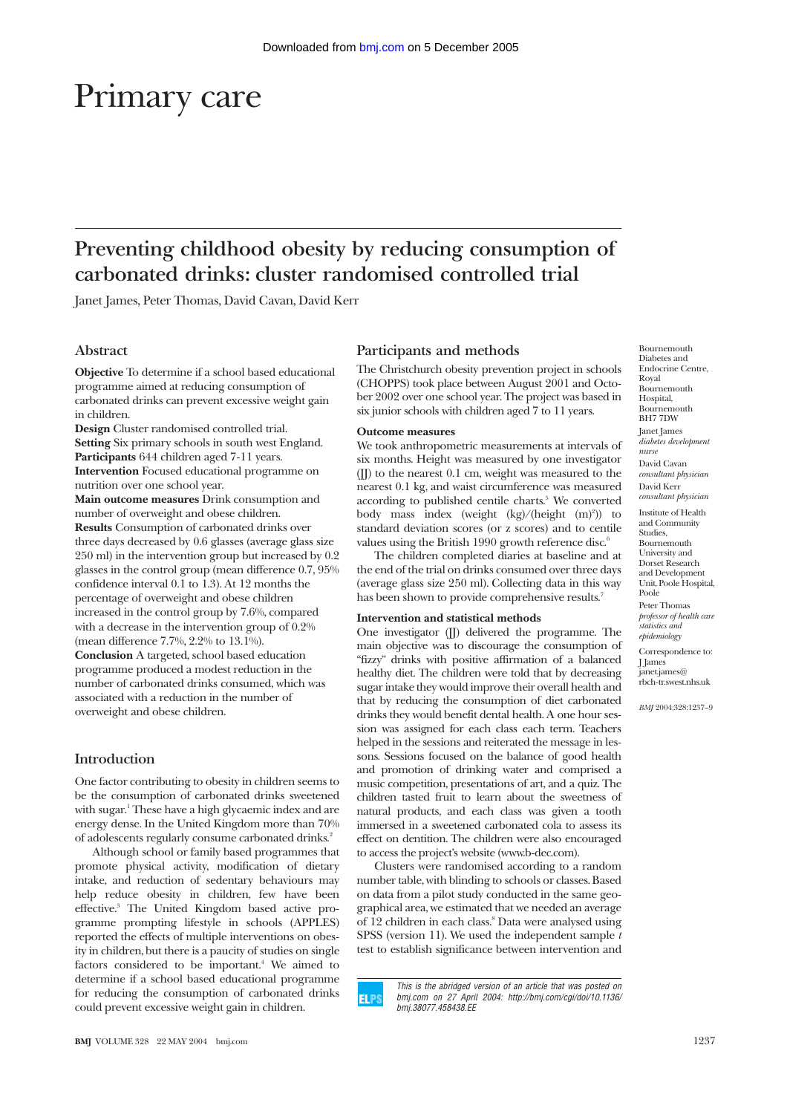# Primary care

# **Preventing childhood obesity by reducing consumption of carbonated drinks: cluster randomised controlled trial**

Janet James, Peter Thomas, David Cavan, David Kerr

#### **Abstract**

**Objective** To determine if a school based educational programme aimed at reducing consumption of carbonated drinks can prevent excessive weight gain in children.

**Design** Cluster randomised controlled trial. **Setting** Six primary schools in south west England. **Participants** 644 children aged 7-11 years. **Intervention** Focused educational programme on nutrition over one school year.

**Main outcome measures** Drink consumption and number of overweight and obese children. **Results** Consumption of carbonated drinks over three days decreased by 0.6 glasses (average glass size 250 ml) in the intervention group but increased by 0.2 glasses in the control group (mean difference 0.7, 95% confidence interval 0.1 to 1.3). At 12 months the percentage of overweight and obese children increased in the control group by 7.6%, compared with a decrease in the intervention group of 0.2% (mean difference 7.7%, 2.2% to 13.1%). **Conclusion** A targeted, school based education programme produced a modest reduction in the number of carbonated drinks consumed, which was associated with a reduction in the number of overweight and obese children.

#### **Introduction**

One factor contributing to obesity in children seems to be the consumption of carbonated drinks sweetened with sugar.<sup>1</sup> These have a high glycaemic index and are energy dense. In the United Kingdom more than 70% of adolescents regularly consume carbonated drinks.<sup>2</sup>

Although school or family based programmes that promote physical activity, modification of dietary intake, and reduction of sedentary behaviours may help reduce obesity in children, few have been effective.3 The United Kingdom based active programme prompting lifestyle in schools (APPLES) reported the effects of multiple interventions on obesity in children, but there is a paucity of studies on single factors considered to be important.<sup>4</sup> We aimed to determine if a school based educational programme for reducing the consumption of carbonated drinks could prevent excessive weight gain in children.

## **Participants and methods**

The Christchurch obesity prevention project in schools (CHOPPS) took place between August 2001 and October 2002 over one school year. The project was based in six junior schools with children aged 7 to 11 years.

#### **Outcome measures**

We took anthropometric measurements at intervals of six months. Height was measured by one investigator (JJ) to the nearest 0.1 cm, weight was measured to the nearest 0.1 kg, and waist circumference was measured according to published centile charts.<sup>5</sup> We converted body mass index (weight (kg)/(height (m)<sup>2</sup>)) to standard deviation scores (or z scores) and to centile values using the British 1990 growth reference disc.<sup>6</sup>

The children completed diaries at baseline and at the end of the trial on drinks consumed over three days (average glass size 250 ml). Collecting data in this way has been shown to provide comprehensive results.<sup>7</sup>

#### **Intervention and statistical methods**

One investigator (JJ) delivered the programme. The main objective was to discourage the consumption of "fizzy" drinks with positive affirmation of a balanced healthy diet. The children were told that by decreasing sugar intake they would improve their overall health and that by reducing the consumption of diet carbonated drinks they would benefit dental health. A one hour session was assigned for each class each term. Teachers helped in the sessions and reiterated the message in lessons. Sessions focused on the balance of good health and promotion of drinking water and comprised a music competition, presentations of art, and a quiz. The children tasted fruit to learn about the sweetness of natural products, and each class was given a tooth immersed in a sweetened carbonated cola to assess its effect on dentition. The children were also encouraged to access the project's website (www.b-dec.com).

Clusters were randomised according to a random number table, with blinding to schools or classes. Based on data from a pilot study conducted in the same geographical area, we estimated that we needed an average of 12 children in each class.<sup>8</sup> Data were analysed using SPSS (version 11). We used the independent sample *t* test to establish significance between intervention and



This is the abridged version of an article that was posted on bmj.com on 27 April 2004: http://bmj.com/cgi/doi/10.1136/ bmj.38077.458438.EE

Bournemouth Diabetes and Endocrine Centre, Royal Bournemouth Hospital, Bournemouth BH7 7DW Janet James *diabetes development nurse* David Cavan *consultant physician* David Kerr *consultant physician* Institute of Health and Community **Studies** Bournemouth University and Dorset Research and Development Unit, Poole Hospital, Poole Peter Thomas *professor of health care statistics and epidemiology* Correspondence to: J James janet.james@ rbch-tr.swest.nhs.uk *BMJ* 2004;328:1237–9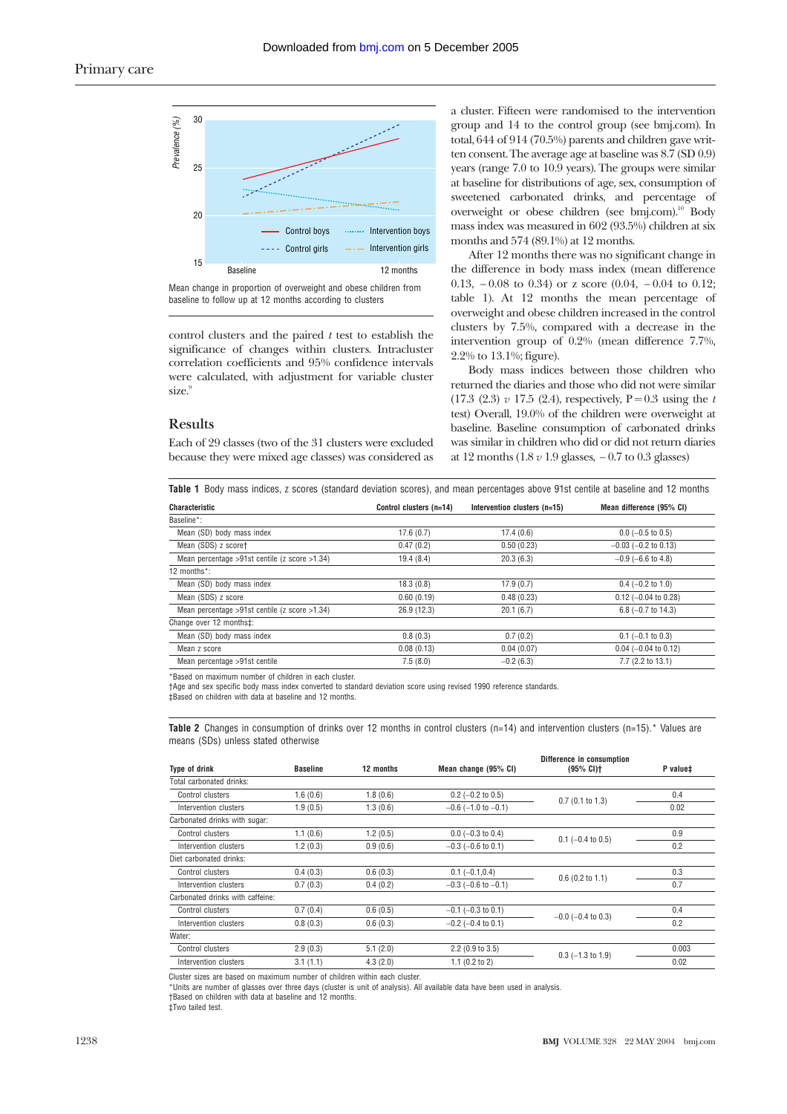

Mean change in proportion of overweight and obese children from baseline to follow up at 12 months according to clusters

control clusters and the paired *t* test to establish the significance of changes within clusters. Intracluster correlation coefficients and 95% confidence intervals were calculated, with adjustment for variable cluster size.<sup>9</sup>

#### **Results**

Each of 29 classes (two of the 31 clusters were excluded because they were mixed age classes) was considered as a cluster. Fifteen were randomised to the intervention group and 14 to the control group (see bmj.com). In total, 644 of 914 (70.5%) parents and children gave written consent. The average age at baseline was 8.7 (SD 0.9) years (range 7.0 to 10.9 years). The groups were similar at baseline for distributions of age, sex, consumption of sweetened carbonated drinks, and percentage of overweight or obese children (see bmj.com).10 Body mass index was measured in 602 (93.5%) children at six months and 574 (89.1%) at 12 months.

After 12 months there was no significant change in the difference in body mass index (mean difference 0.13, − 0.08 to 0.34) or z score (0.04, − 0.04 to 0.12; table 1). At 12 months the mean percentage of overweight and obese children increased in the control clusters by 7.5%, compared with a decrease in the intervention group of 0.2% (mean difference 7.7%, 2.2% to 13.1%; figure).

Body mass indices between those children who returned the diaries and those who did not were similar  $(17.3 \ (2.3) \ v \ 17.5 \ (2.4)$ , respectively, P = 0.3 using the *t* test) Overall, 19.0% of the children were overweight at baseline. Baseline consumption of carbonated drinks was similar in children who did or did not return diaries at 12 months (1.8 *v* 1.9 glasses, − 0.7 to 0.3 glasses)

| <b>Characteristic</b>                            | Control clusters (n=14) | Intervention clusters (n=15) | Mean difference (95% CI)  |  |
|--------------------------------------------------|-------------------------|------------------------------|---------------------------|--|
| Baseline*:                                       |                         |                              |                           |  |
| Mean (SD) body mass index                        | 17.6(0.7)               | 17.4(0.6)                    | $0.0$ (-0.5 to 0.5)       |  |
| Mean (SDS) z score†                              | 0.47(0.2)               | 0.50(0.23)                   | $-0.03$ ( $-0.2$ to 0.13) |  |
| Mean percentage >91st centile (z score >1.34)    | 19.4(8.4)               | 20.3(6.3)                    | $-0.9$ ( $-6.6$ to 4.8)   |  |
| 12 months*:                                      |                         |                              |                           |  |
| Mean (SD) body mass index                        | 18.3(0.8)               | 17.9(0.7)                    | $0.4$ (-0.2 to 1.0)       |  |
| Mean (SDS) z score                               | 0.60(0.19)              | 0.48(0.23)                   | $0.12$ (-0.04 to 0.28)    |  |
| Mean percentage >91st centile ( $z$ score >1.34) | 26.9(12.3)              | 20.1(6.7)                    | 6.8 $(-0.7$ to 14.3)      |  |
| Change over 12 months‡:                          |                         |                              |                           |  |
| Mean (SD) body mass index                        | 0.8(0.3)                | 0.7(0.2)                     | $0.1$ (-0.1 to 0.3)       |  |
| Mean z score                                     | 0.08(0.13)              | 0.04(0.07)                   | $0.04$ (-0.04 to 0.12)    |  |
| Mean percentage >91st centile                    | 7.5(8.0)                | $-0.2(6.3)$                  | 7.7 (2.2 to 13.1)         |  |
|                                                  |                         |                              |                           |  |

\*Based on maximum number of children in each cluster.

†Age and sex specific body mass index converted to standard deviation score using revised 1990 reference standards.

‡Based on children with data at baseline and 12 months.

**Table 2** Changes in consumption of drinks over 12 months in control clusters (n=14) and intervention clusters (n=15).\* Values are means (SDs) unless stated otherwise

| <b>Type of drink</b>             |                 |           | Difference in consumption   |                         |          |  |
|----------------------------------|-----------------|-----------|-----------------------------|-------------------------|----------|--|
|                                  | <b>Baseline</b> | 12 months | Mean change (95% CI)        | (95% CI)                | P value‡ |  |
| Total carbonated drinks:         |                 |           |                             |                         |          |  |
| Control clusters                 | 1.6(0.6)        | 1.8(0.6)  | $0.2$ (-0.2 to 0.5)         | $0.7$ (0.1 to 1.3)      | 0.4      |  |
| Intervention clusters            | 1.9(0.5)        | 1.3(0.6)  | $-0.6$ ( $-1.0$ to $-0.1$ ) |                         | 0.02     |  |
| Carbonated drinks with sugar:    |                 |           |                             |                         |          |  |
| Control clusters                 | 1.1(0.6)        | 1.2(0.5)  | $0.0$ (-0.3 to 0.4)         |                         | 0.9      |  |
| Intervention clusters            | 1.2(0.3)        | 0.9(0.6)  | $-0.3$ ( $-0.6$ to 0.1)     | $0.1$ (-0.4 to 0.5)     | 0.2      |  |
| Diet carbonated drinks:          |                 |           |                             |                         |          |  |
| Control clusters                 | 0.4(0.3)        | 0.6(0.3)  | $0.1 (-0.1, 0.4)$           |                         | 0.3      |  |
| Intervention clusters            | 0.7(0.3)        | 0.4(0.2)  | $-0.3$ ( $-0.6$ to $-0.1$ ) | $0.6$ (0.2 to 1.1)      | 0.7      |  |
| Carbonated drinks with caffeine: |                 |           |                             |                         |          |  |
| Control clusters                 | 0.7(0.4)        | 0.6(0.5)  | $-0.1$ ( $-0.3$ to 0.1)     |                         | 0.4      |  |
| Intervention clusters            | 0.8(0.3)        | 0.6(0.3)  | $-0.2$ ( $-0.4$ to 0.1)     | $-0.0$ ( $-0.4$ to 0.3) | 0.2      |  |
| Water:                           |                 |           |                             |                         |          |  |
| Control clusters                 | 2.9(0.3)        | 5.1(2.0)  | $2.2$ (0.9 to 3.5)          |                         | 0.003    |  |
| Intervention clusters            | 3.1(1.1)        | 4.3(2.0)  | $1.1$ (0.2 to 2)            | $0.3$ (-1.3 to 1.9)     | 0.02     |  |

Cluster sizes are based on maximum number of children within each cluster.

\*Units are number of glasses over three days (cluster is unit of analysis). All available data have been used in analysis.

†Based on children with data at baseline and 12 months.

‡Two tailed test.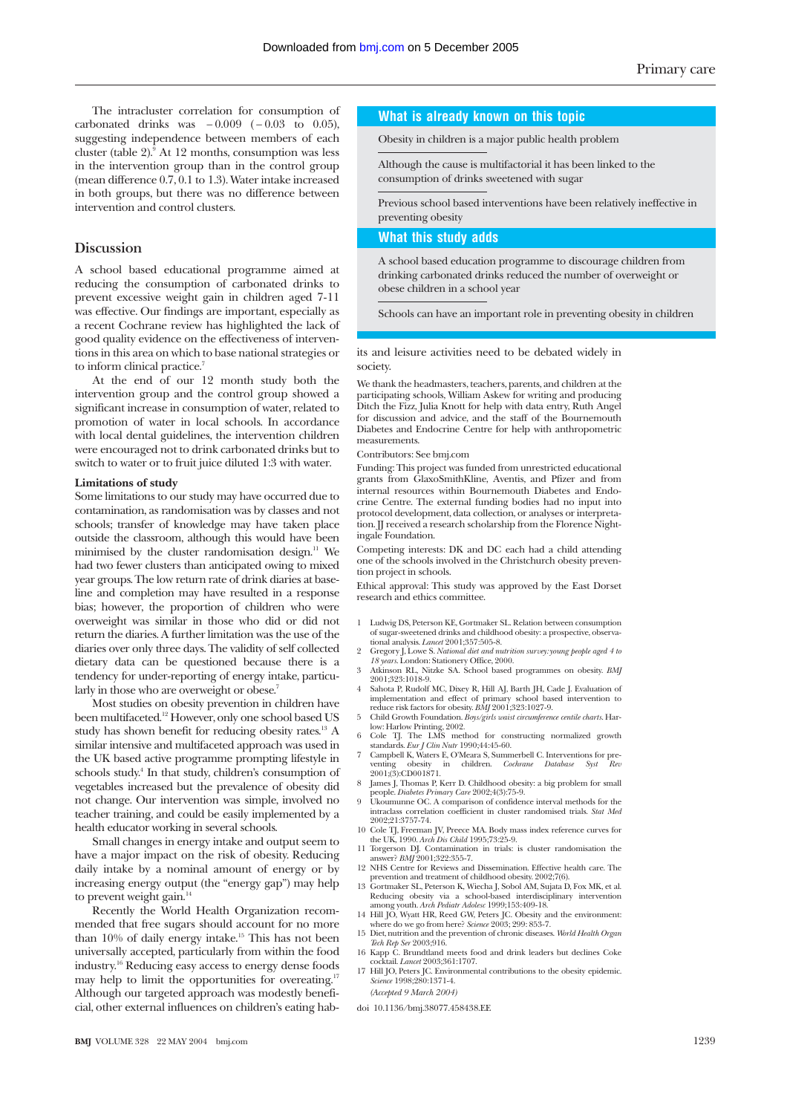The intracluster correlation for consumption of carbonated drinks was  $-0.009$  ( $-0.03$  to 0.05), suggesting independence between members of each cluster (table  $2$ ).<sup>5</sup> At 12 months, consumption was less in the intervention group than in the control group (mean difference 0.7, 0.1 to 1.3). Water intake increased in both groups, but there was no difference between intervention and control clusters.

#### **Discussion**

A school based educational programme aimed at reducing the consumption of carbonated drinks to prevent excessive weight gain in children aged 7-11 was effective. Our findings are important, especially as a recent Cochrane review has highlighted the lack of good quality evidence on the effectiveness of interventions in this area on which to base national strategies or to inform clinical practice.<sup>7</sup>

At the end of our 12 month study both the intervention group and the control group showed a significant increase in consumption of water, related to promotion of water in local schools. In accordance with local dental guidelines, the intervention children were encouraged not to drink carbonated drinks but to switch to water or to fruit juice diluted 1:3 with water.

#### **Limitations of study**

Some limitations to our study may have occurred due to contamination, as randomisation was by classes and not schools; transfer of knowledge may have taken place outside the classroom, although this would have been minimised by the cluster randomisation design.<sup>11</sup> We had two fewer clusters than anticipated owing to mixed year groups. The low return rate of drink diaries at baseline and completion may have resulted in a response bias; however, the proportion of children who were overweight was similar in those who did or did not return the diaries. A further limitation was the use of the diaries over only three days. The validity of self collected dietary data can be questioned because there is a tendency for under-reporting of energy intake, particularly in those who are overweight or obese.<sup>7</sup>

Most studies on obesity prevention in children have been multifaceted.<sup>12</sup> However, only one school based US study has shown benefit for reducing obesity rates.13 A similar intensive and multifaceted approach was used in the UK based active programme prompting lifestyle in schools study.<sup>4</sup> In that study, children's consumption of vegetables increased but the prevalence of obesity did not change. Our intervention was simple, involved no teacher training, and could be easily implemented by a health educator working in several schools.

Small changes in energy intake and output seem to have a major impact on the risk of obesity. Reducing daily intake by a nominal amount of energy or by increasing energy output (the "energy gap") may help to prevent weight gain.<sup>14</sup>

Recently the World Health Organization recommended that free sugars should account for no more than 10% of daily energy intake.<sup>15</sup> This has not been universally accepted, particularly from within the food industry.16 Reducing easy access to energy dense foods may help to limit the opportunities for overeating.<sup>17</sup> Although our targeted approach was modestly beneficial, other external influences on children's eating hab-

#### **What is already known on this topic**

Obesity in children is a major public health problem

Although the cause is multifactorial it has been linked to the consumption of drinks sweetened with sugar

Previous school based interventions have been relatively ineffective in preventing obesity

#### **What this study adds**

A school based education programme to discourage children from drinking carbonated drinks reduced the number of overweight or obese children in a school year

Schools can have an important role in preventing obesity in children

its and leisure activities need to be debated widely in society.

We thank the headmasters, teachers, parents, and children at the participating schools, William Askew for writing and producing Ditch the Fizz, Julia Knott for help with data entry, Ruth Angel for discussion and advice, and the staff of the Bournemouth Diabetes and Endocrine Centre for help with anthropometric measurements.

#### Contributors: See bmj.com

Funding: This project was funded from unrestricted educational grants from GlaxoSmithKline, Aventis, and Pfizer and from internal resources within Bournemouth Diabetes and Endocrine Centre. The external funding bodies had no input into protocol development, data collection, or analyses or interpretation. JJ received a research scholarship from the Florence Nightingale Foundation.

Competing interests: DK and DC each had a child attending one of the schools involved in the Christchurch obesity prevention project in schools.

Ethical approval: This study was approved by the East Dorset research and ethics committee.

- 1 Ludwig DS, Peterson KE, Gortmaker SL. Relation between consumption of sugar-sweetened drinks and childhood obesity: a prospective, observa-
- tional analysis. *Lancet* 2001;357:505-8. 2 Gregory J, Lowe S. *National diet and nutrition survey: young people aged 4 to 18 years*. London: Stationery Office, 2000. 3 Atkinson RL, Nitzke SA. School based programmes on obesity. *BMJ*
- 2001;323:1018-9. 4 Sahota P, Rudolf MC, Dixey R, Hill AJ, Barth JH, Cade J. Evaluation of
- implementation and effect of primary school based intervention to reduce risk factors for obesity. *BMJ* 2001;323:1027-9.
- 5 Child Growth Foundation. *Boys/girls waist circumference centile charts*. Har-
- low: Harlow Printing, 2002.<br>6 Cole TJ. The LMS method for constructing normalized growth<br>standards. *Eur J Clin Nutr* 1990;44:45-60.
- 7 Campbell K, Waters E, O'Meara S, Summerbell C. Interventions for pre-venting obesity in children. *Cochrane Database Syst Rev*  $\frac{1}{2001};\frac{1}{2001};\frac{1}{2001};\frac{1}{2001};\frac{1}{2001};\frac{1}{2001};\frac{1}{2001};\frac{1}{2001};\frac{1}{2001};\frac{1}{2001};\frac{1}{2001};\frac{1}{2001};\frac{1}{2001};\frac{1}{2001};\frac{1}{2001};\frac{1}{2001};\frac{1}{2001};\frac{1}{2001};\frac{1}{2001};\frac{1}{2001};\frac{1}{2001};\frac{1}{2001};$
- James J, Thomas P, Kerr D. Childhood obesity: a big problem for small people. *Diabetes Primary Care* 2002;4(3):75-9. 9 Ukoumunne OC. A comparison of confidence interval methods for the
- intraclass correlation coefficient in cluster randomised trials. *Stat Med* 2002;21:3757-74.
- 10 Cole TJ, Freeman JV, Preece MA. Body mass index reference curves for the UK, 1990. *Arch Dis Child* 1995;73:25-9.
- 11 Torgerson DJ. Contamination in trials: is cluster randomisation the answer? *BMJ* 2001;322:355-7.
- 
- 12 NHS Centre for Reviews and Dissemination. Effective health care. The prevention and treatment of child<br>hood obesity. 2002;7(6). Governaker SL, Peterson K, Wiecha J, Sobol AM, Sujata D, Fox MK, et al.<br>Reducing obesity v
- 15 Diet, nutrition and the prevention of chronic diseases. *World Health Organ*
- *Tech Rep Ser* 2003;916.
- 16 Kapp C. Brundtland meets food and drink leaders but declines Coke cocktail. *Lancet* 2003;361:1707. 17 Hill JO, Peters JC. Environmental contributions to the obesity epidemic. *Science* 1998;280:1371-4.
- *(Accepted 9 March 2004)*
- doi 10.1136/bmj.38077.458438.EE